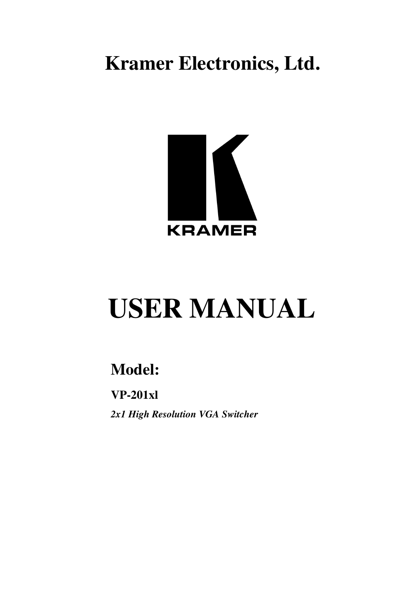**Kramer Electronics, Ltd.**



# **USER MANUAL**

## **Model:**

**VP-201xl** *2x1 High Resolution VGA Switcher*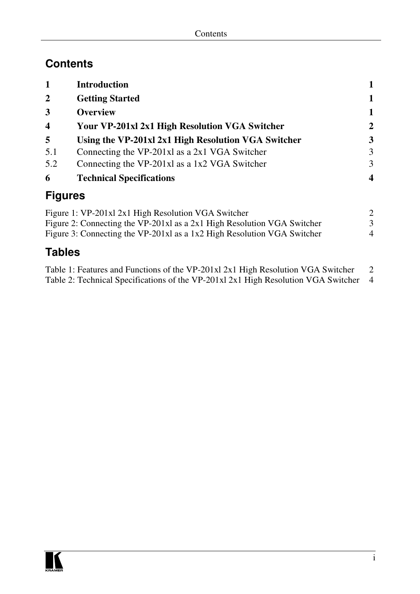### **Contents**

| 1                       | <b>Introduction</b>                                 |                  |
|-------------------------|-----------------------------------------------------|------------------|
| $\mathbf{2}$            | <b>Getting Started</b>                              | 1                |
| 3                       | <b>Overview</b>                                     | 1                |
| $\overline{\mathbf{4}}$ | Your VP-201xl 2x1 High Resolution VGA Switcher      | $\mathbf{2}$     |
| 5                       | Using the VP-201xl 2x1 High Resolution VGA Switcher | 3                |
| 5.1                     | Connecting the $VP-201x1$ as a 2x1 VGA Switcher     | 3                |
| 5.2                     | Connecting the VP-201xl as a 1x2 VGA Switcher       | 3                |
| 6                       | <b>Technical Specifications</b>                     | $\boldsymbol{4}$ |
| <b>Figures</b>          |                                                     |                  |

| Figure 1: VP-201xl 2x1 High Resolution VGA Switcher                     |                          |
|-------------------------------------------------------------------------|--------------------------|
| Figure 2: Connecting the VP-201xl as a 2x1 High Resolution VGA Switcher |                          |
| Figure 3: Connecting the VP-201xl as a 1x2 High Resolution VGA Switcher | $\overline{\mathcal{A}}$ |

### **Tables**

| Table 1: Features and Functions of the VP-201x1 2x1 High Resolution VGA Switcher     |  |
|--------------------------------------------------------------------------------------|--|
| Table 2: Technical Specifications of the VP-201xl 2x1 High Resolution VGA Switcher 4 |  |

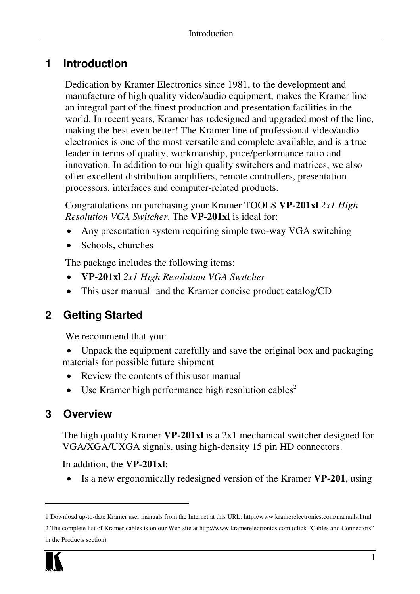### **1 Introduction**

Dedication by Kramer Electronics since 1981, to the development and manufacture of high quality video/audio equipment, makes the Kramer line an integral part of the finest production and presentation facilities in the world. In recent years, Kramer has redesigned and upgraded most of the line, making the best even better! The Kramer line of professional video/audio electronics is one of the most versatile and complete available, and is a true leader in terms of quality, workmanship, price/performance ratio and innovation. In addition to our high quality switchers and matrices, we also offer excellent distribution amplifiers, remote controllers, presentation processors, interfaces and computer-related products.

Congratulations on purchasing your Kramer TOOLS **VP-201xl** *2x1 High Resolution VGA Switcher*. The **VP-201xl** is ideal for:

- Any presentation system requiring simple two-way VGA switching
- Schools, churches

The package includes the following items:

- **VP-201xl** *2x1 High Resolution VGA Switcher*
- $\bullet$  This user manual<sup>1</sup> and the Kramer concise product catalog/CD

### **2 Getting Started**

We recommend that you:

- Unpack the equipment carefully and save the original box and packaging materials for possible future shipment
	- Review the contents of this user manual
	- Use Kramer high performance high resolution cables<sup>2</sup>

### **3 Overview**

The high quality Kramer **VP-201xl** is a 2x1 mechanical switcher designed for VGA/XGA/UXGA signals, using high-density 15 pin HD connectors.

In addition, the **VP-201xl**:

Is a new ergonomically redesigned version of the Kramer **VP-201**, using

<sup>2</sup> The complete list of Kramer cables is on our Web site at http://www.kramerelectronics.com (click "Cables and Connectors" in the Products section)



<sup>1</sup> Download up-to-date Kramer user manuals from the Internet at this URL: http://www.kramerelectronics.com/manuals.html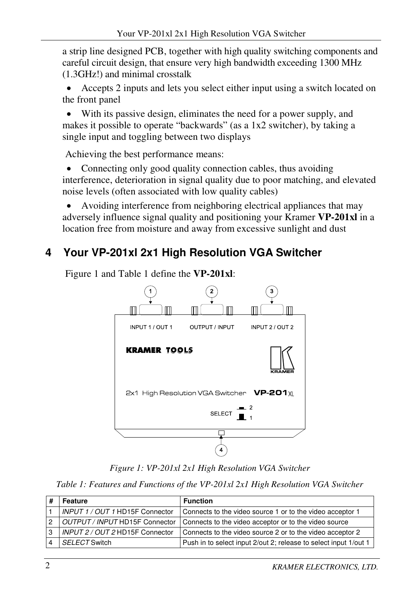a strip line designed PCB, together with high quality switching components and careful circuit design, that ensure very high bandwidth exceeding 1300 MHz (1.3GHz!) and minimal crosstalk

 Accepts 2 inputs and lets you select either input using a switch located on the front panel

 With its passive design, eliminates the need for a power supply, and makes it possible to operate "backwards" (as a 1x2 switcher), by taking a single input and toggling between two displays

Achieving the best performance means:

• Connecting only good quality connection cables, thus avoiding interference, deterioration in signal quality due to poor matching, and elevated noise levels (often associated with low quality cables)

 Avoiding interference from neighboring electrical appliances that may adversely influence signal quality and positioning your Kramer **VP-201xl** in a location free from moisture and away from excessive sunlight and dust

### **4 Your VP-201xl 2x1 High Resolution VGA Switcher**



Figure 1 and Table 1 define the **VP-201xl**:

*Figure 1: VP-201xl 2x1 High Resolution VGA Switcher*

*Table 1: Features and Functions of the VP-201xl 2x1 High Resolution VGA Switcher*

|   | Feature                         | <b>Function</b>                                                  |
|---|---------------------------------|------------------------------------------------------------------|
|   | INPUT 1 / OUT 1 HD15F Connector | Connects to the video source 1 or to the video acceptor 1        |
| 2 | OUTPUT / INPUT HD15F Connector  | Connects to the video acceptor or to the video source            |
| 3 | INPUT 2 / OUT 2 HD15F Connector | Connects to the video source 2 or to the video acceptor 2        |
|   | SELECT Switch                   | Push in to select input 2/out 2; release to select input 1/out 1 |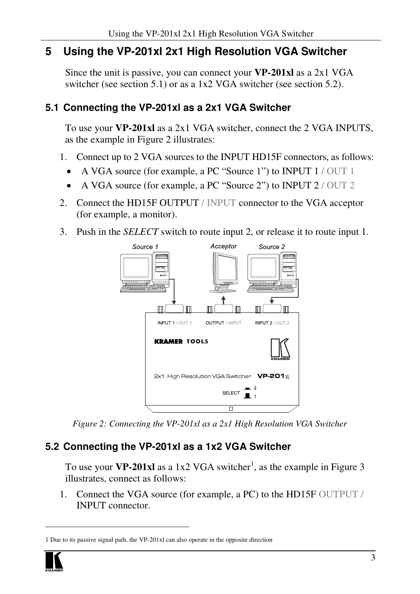### **5 Using the VP-201xl 2x1 High Resolution VGA Switcher**

Since the unit is passive, you can connect your **VP-201xl** as a 2x1 VGA switcher (see section 5.1) or as a 1x2 VGA switcher (see section 5.2).

#### **5.1 Connecting the VP-201xl as a 2x1 VGA Switcher**

To use your **VP-201xl** as a 2x1 VGA switcher, connect the 2 VGA INPUTS, as the example in Figure 2 illustrates:

- 1. Connect up to 2 VGA sources to the INPUT HD15F connectors, as follows:
	- A VGA source (for example, a PC "Source 1") to INPUT 1/OUT 1
	- A VGA source (for example, a PC "Source 2") to INPUT 2 / OUT 2
- 2. Connect the HD15F OUTPUT / INPUT connector to the VGA acceptor (for example, a monitor).
- 3. Push in the *SELECT* switch to route input 2, or release it to route input 1.



*Figure 2: Connecting the VP-201xl as a 2x1 High Resolution VGA Switcher*

### **5.2 Connecting the VP-201xl as a 1x2 VGA Switcher**

To use your **VP-201xl** as a 1x2 VGA switcher 1 , as the example in Figure 3 illustrates, connect as follows:

1. Connect the VGA source (for example, a PC) to the HD15F OUTPUT / INPUT connector.

<sup>1</sup> Due to its passive signal path, the VP-201xl can also operate in the opposite direction

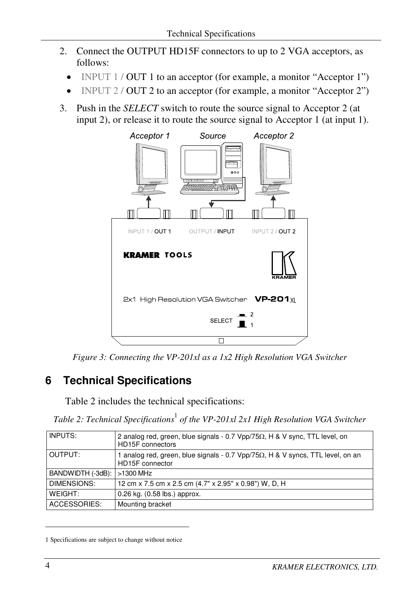- 2. Connect the OUTPUT HD15F connectors to up to 2 VGA acceptors, as follows:
	- INPUT 1 / OUT 1 to an acceptor (for example, a monitor "Acceptor 1")
	- INPUT 2 / OUT 2 to an acceptor (for example, a monitor "Acceptor 2")
- 3. Push in the *SELECT* switch to route the source signal to Acceptor 2 (at input 2), or release it to route the source signal to Acceptor 1 (at input 1).



*Figure 3: Connecting the VP-201xl as a 1x2 High Resolution VGA Switcher*

### **6 Technical Specifications**

Table 2 includes the technical specifications:

*Table 2: Technical Specifications* 1 *of the VP-201xl 2x1 High Resolution VGA Switcher*

| 2 analog red, green, blue signals - 0.7 $Vpp/75\Omega$ , H & V sync, TTL level, on<br>HD15F connectors    |
|-----------------------------------------------------------------------------------------------------------|
| 1 analog red, green, blue signals - 0.7 $Vpp/75\Omega$ , H & V syncs, TTL level, on an<br>HD15F connector |
| BANDWIDTH (-3dB):<br>>1300 MHz                                                                            |
| 12 cm x 7.5 cm x 2.5 cm (4.7" x 2.95" x 0.98") W, D, H                                                    |
| 0.26 kg. (0.58 lbs.) approx.                                                                              |
| Mounting bracket                                                                                          |
|                                                                                                           |

<sup>1</sup> Specifications are subject to change without notice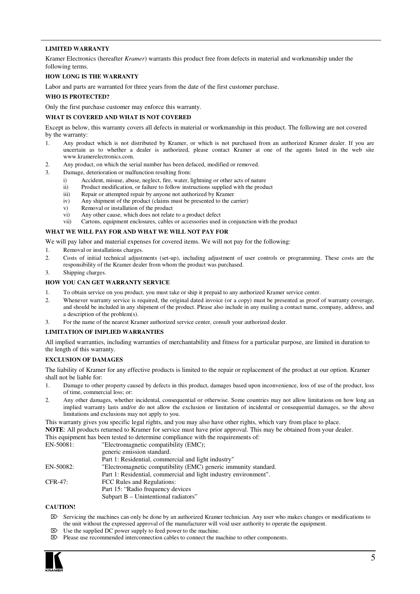#### **LIMITED WARRANTY**

Kramer Electronics (hereafter *Kramer*) warrants this product free from defects in material and workmanship under the following terms.

#### **HOW LONG IS THE WARRANTY**

Labor and parts are warranted for three years from the date of the first customer purchase.

#### **WHO IS PROTECTED?**

Only the first purchase customer may enforce this warranty.

#### **WHAT IS COVERED AND WHAT IS NOT COVERED**

Except as below, this warranty covers all defects in material or workmanship in this product. The following are not covered by the warranty:

- 1. Any product which is not distributed by Kramer, or which is not purchased from an authorized Kramer dealer. If you are uncertain as to whether a dealer is authorized, please contact Kramer at one of the agents listed in the web site www.kramerelectronics.com.
- 2. Any product, on which the serial number has been defaced, modified or removed.
- 3. Damage, deterioration or malfunction resulting from:
	- i) Accident, misuse, abuse, neglect, fire, water, lightning or other acts of nature
	- ii) Product modification, or failure to follow instructions supplied with the product
	- iii) Repair or attempted repair by anyone not authorized by  $\hat{K}$ ramer<br>iv) Any shipment of the product (claims must be presented to the co
	- Any shipment of the product (claims must be presented to the carrier)
	- v) Removal or installation of the product
	- vi) Any other cause, which does not relate to a product defect
	- vii) Cartons, equipment enclosures, cables or accessories used in conjunction with the product

#### **WHAT WE WILL PAY FOR AND WHAT WE WILL NOT PAY FOR**

We will pay labor and material expenses for covered items. We will not pay for the following:

- 1. Removal or installations charges.
- 2. Costs of initial technical adjustments (set-up), including adjustment of user controls or programming. These costs are the responsibility of the Kramer dealer from whom the product was purchased.
- 3. Shipping charges.

#### **HOW YOU CAN GET WARRANTY SERVICE**

- 1. To obtain service on you product, you must take or ship it prepaid to any authorized Kramer service center.
- 2. Whenever warranty service is required, the original dated invoice (or a copy) must be presented as proof of warranty coverage, and should be included in any shipment of the product. Please also include in any mailing a contact name, company, address, and a description of the problem(s).
- 3. For the name of the nearest Kramer authorized service center, consult your authorized dealer.

#### **LIMITATION OF IMPLIED WARRANTIES**

All implied warranties, including warranties of merchantability and fitness for a particular purpose, are limited in duration to the length of this warranty.

#### **EXCLUSION OF DAMAGES**

The liability of Kramer for any effective products is limited to the repair or replacement of the product at our option. Kramer shall not be liable for:

- 1. Damage to other property caused by defects in this product, damages based upon inconvenience, loss of use of the product, loss of time, commercial loss; or:
- 2. Any other damages, whether incidental, consequential or otherwise. Some countries may not allow limitations on how long an implied warranty lasts and/or do not allow the exclusion or limitation of incidental or consequential damages, so the above limitations and exclusions may not apply to you.

This warranty gives you specific legal rights, and you may also have other rights, which vary from place to place. **NOTE**: All products returned to Kramer for service must have prior approval. This may be obtained from your dealer.

This equipment has been tested to determine compliance with the requirements of:

| EN-50081: | "Electromagnetic compatibility (EMC);                            |
|-----------|------------------------------------------------------------------|
|           | generic emission standard.                                       |
|           | Part 1: Residential, commercial and light industry"              |
| EN-50082: | "Electromagnetic compatibility (EMC) generic immunity standard.  |
|           | Part 1: Residential, commercial and light industry environment". |
| CFR-47:   | FCC Rules and Regulations:                                       |
|           | Part 15: "Radio frequency devices                                |
|           | Subpart B - Unintentional radiators"                             |

#### **CAUTION!**

- Servicing the machines can only be done by an authorized Kramer technician. Any user who makes changes or modifications to the unit without the expressed approval of the manufacturer will void user authority to operate the equipment.
- $\boxtimes$  Use the supplied DC power supply to feed power to the machine.
- $\triangleright$  Please use recommended interconnection cables to connect the machine to other components.